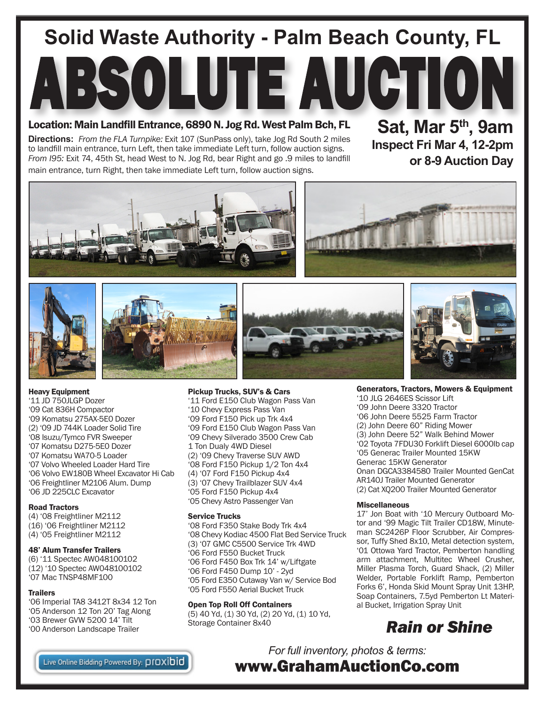# **Solid Waste Authority - Palm Beach County, FL**

### Location: Main Landfill Entrance, 6890 N. Jog Rd. West Palm Bch, FL

**Directions:** *From the FLA Turnpike:* Exit 107 (SunPass only), take Jog Rd South 2 miles to landfill main entrance, turn Left, then take immediate Left turn, follow auction signs. *From I95:* Exit 74, 45th St, head West to N. Jog Rd, bear Right and go .9 miles to landfill main entrance, turn Right, then take immediate Left turn, follow auction signs.

**Sat, Mar 5th, 9am Inspect Fri Mar 4, 12-2pm or 8-9 Auction Day**









ABSOLUTE AUCTION



Heavy Equipment

'11 JD 750JLGP Dozer '09 Cat 836H Compactor '09 Komatsu 275AX-5E0 Dozer (2) '09 JD 744K Loader Solid Tire '08 Isuzu/Tymco FVR Sweeper '07 Komatsu D275-5E0 Dozer '07 Komatsu WA70-5 Loader '07 Volvo Wheeled Loader Hard Tire '06 Volvo EW180B Wheel Excavator Hi Cab '06 Freightliner M2106 Alum. Dump '06 JD 225CLC Excavator

#### Road Tractors

(4) '08 Freightliner M2112 (16) '06 Freightliner M2112 (4) '05 Freightliner M2112

#### 48' Alum Transfer Trailers

(6) '11 Spectec AW048100102 (12) '10 Spectec AW048100102 '07 Mac TNSP48MF100

#### **Trailers**

'06 Imperial TA8 3412T 8x34 12 Ton '05 Anderson 12 Ton 20' Tag Along '03 Brewer GVW 5200 14' Tilt '00 Anderson Landscape Trailer



Pickup Trucks, SUV's & Cars

'11 Ford E150 Club Wagon Pass Van '10 Chevy Express Pass Van '09 Ford F150 Pick up Trk 4x4 '09 Ford E150 Club Wagon Pass Van '09 Chevy Silverado 3500 Crew Cab 1 Ton Dualy 4WD Diesel (2) '09 Chevy Traverse SUV AWD '08 Ford F150 Pickup 1/2 Ton 4x4 (4) '07 Ford F150 Pickup 4x4 (3) '07 Chevy Trailblazer SUV 4x4 '05 Ford F150 Pickup 4x4 '05 Chevy Astro Passenger Van

#### Service Trucks

'08 Ford F350 Stake Body Trk 4x4 '08 Chevy Kodiac 4500 Flat Bed Service Truck (3) '07 GMC C5500 Service Trk 4WD '06 Ford F550 Bucket Truck '06 Ford F450 Box Trk 14' w/Liftgate '06 Ford F450 Dump 10' - 2yd '05 Ford E350 Cutaway Van w/ Service Bod '05 Ford F550 Aerial Bucket Truck

#### Open Top Roll Off Containers

(5) 40 Yd, (1) 30 Yd, (2) 20 Yd, (1) 10 Yd, Storage Container 8x40

#### Generators, Tractors, Mowers & Equipment

'10 JLG 2646ES Scissor Lift '09 John Deere 3320 Tractor '06 John Deere 5525 Farm Tractor (2) John Deere 60" Riding Mower (3) John Deere 52" Walk Behind Mower '02 Toyota 7FDU30 Forklift Diesel 6000lb cap '05 Generac Trailer Mounted 15KW Generac 15KW Generator Onan DGCA3384580 Trailer Mounted GenCat AR140J Trailer Mounted Generator (2) Cat XQ200 Trailer Mounted Generator

#### **Miscellaneous**

17' Jon Boat with '10 Mercury Outboard Motor and '99 Magic Tilt Trailer CD18W, Minuteman SC2426P Floor Scrubber, Air Compressor, Tuffy Shed 8x10, Metal detection system, '01 Ottowa Yard Tractor, Pemberton handling arm attachment, Multitec Wheel Crusher, Miller Plasma Torch, Guard Shack, (2) Miller Welder, Portable Forklift Ramp, Pemberton Forks 6', Honda Skid Mount Spray Unit 13HP, Soap Containers, 7.5yd Pemberton Lt Material Bucket, Irrigation Spray Unit

### *Rain or Shine*

Live Online Bidding Powered By: DIOXIDIO

*For full inventory, photos & terms:* www.GrahamAuctionCo.com